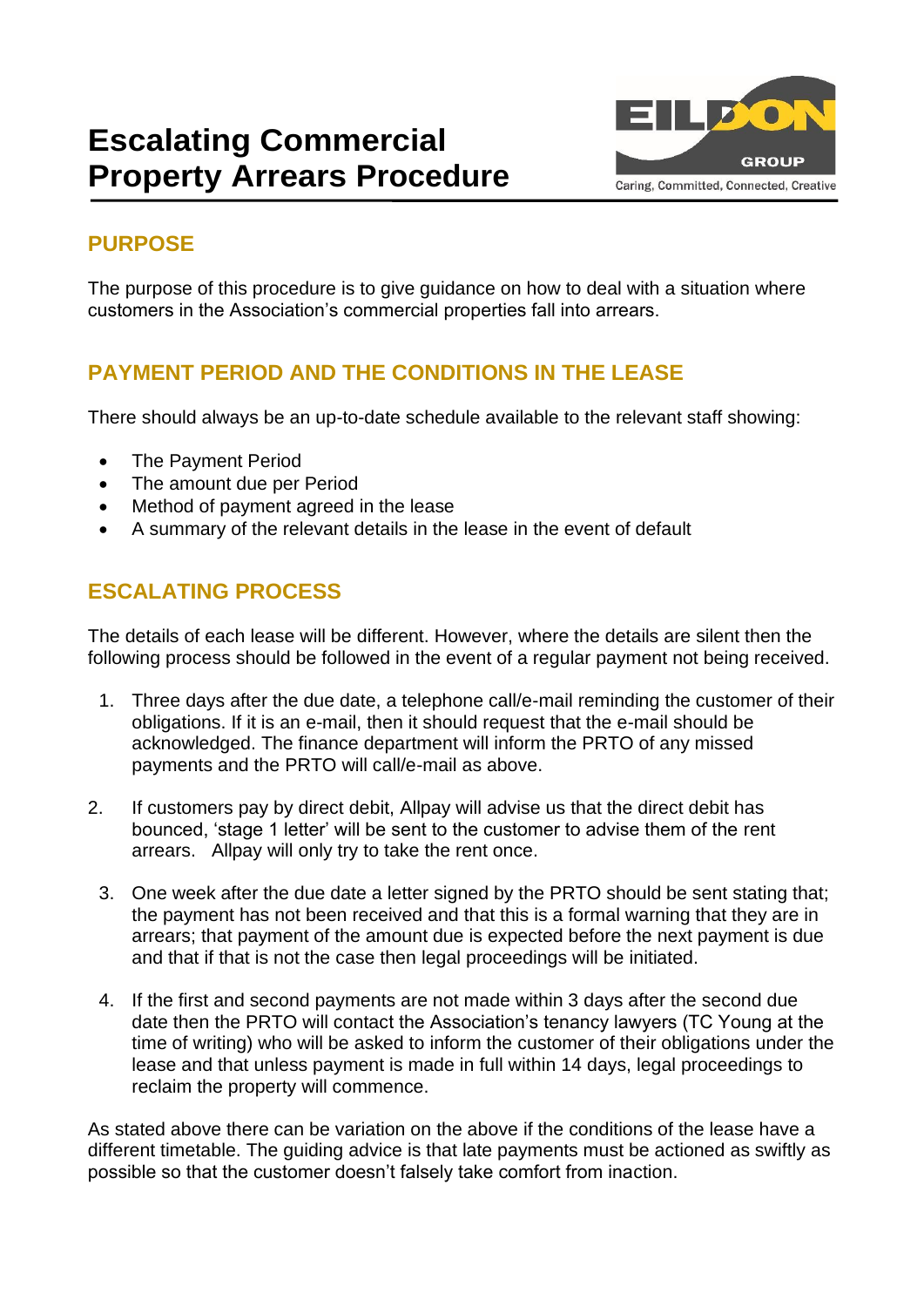# **Escalating Commercial Property Arrears Procedure**



## **PURPOSE**

The purpose of this procedure is to give guidance on how to deal with a situation where customers in the Association's commercial properties fall into arrears.

## **PAYMENT PERIOD AND THE CONDITIONS IN THE LEASE**

There should always be an up-to-date schedule available to the relevant staff showing:

- The Payment Period
- The amount due per Period
- Method of payment agreed in the lease
- A summary of the relevant details in the lease in the event of default

## **ESCALATING PROCESS**

The details of each lease will be different. However, where the details are silent then the following process should be followed in the event of a regular payment not being received.

- 1. Three days after the due date, a telephone call/e-mail reminding the customer of their obligations. If it is an e-mail, then it should request that the e-mail should be acknowledged. The finance department will inform the PRTO of any missed payments and the PRTO will call/e-mail as above.
- 2. If customers pay by direct debit, Allpay will advise us that the direct debit has bounced, 'stage 1 letter' will be sent to the customer to advise them of the rent arrears. Allpay will only try to take the rent once.
	- 3. One week after the due date a letter signed by the PRTO should be sent stating that; the payment has not been received and that this is a formal warning that they are in arrears; that payment of the amount due is expected before the next payment is due and that if that is not the case then legal proceedings will be initiated.
	- 4. If the first and second payments are not made within 3 days after the second due date then the PRTO will contact the Association's tenancy lawyers (TC Young at the time of writing) who will be asked to inform the customer of their obligations under the lease and that unless payment is made in full within 14 days, legal proceedings to reclaim the property will commence.

As stated above there can be variation on the above if the conditions of the lease have a different timetable. The guiding advice is that late payments must be actioned as swiftly as possible so that the customer doesn't falsely take comfort from inaction.